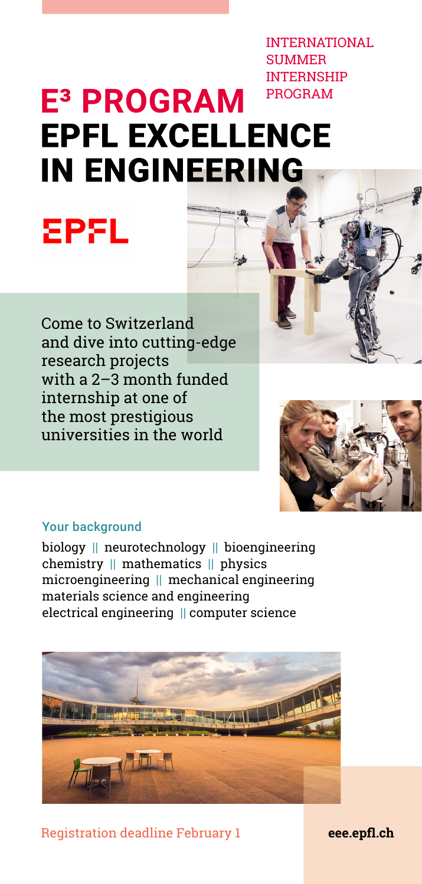INTERNATIONAL **SUMMER** INTERNSHIP

# PROGRAM E<sup>3</sup> PROGRAM **EPFL EXCELLENCE IN ENGINEERING**

Come to Switzerland and dive into cutting-edge research projects with a 2–3 month funded internship at one of the most prestigious universities in the world



#### Your background

**EPFL** 

biology || neurotechnology || bioengineering chemistry || mathematics || physics microengineering || mechanical engineering materials science and engineering electrical engineering || computer science



Registration deadline February 1 **[eee.epfl.ch](http://eee.epfl.ch)**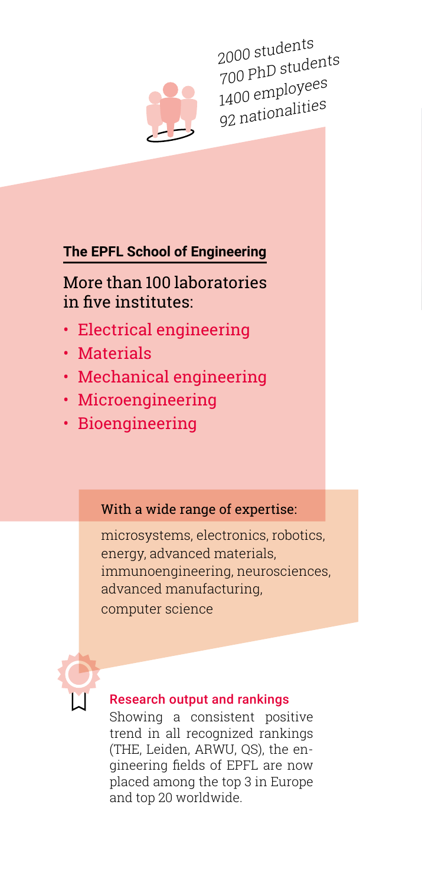

2000 students 700 PhD students 1400 employees 92 nationalities

### **The EPFL School of Engineering**

### More than 100 laboratories in five institutes:

- Electrical engineering
- Materials
- Mechanical engineering
- Microengineering
- Bioengineering

### With a wide range of expertise:

microsystems, electronics, robotics, energy, advanced materials, immunoengineering, neurosciences, advanced manufacturing, computer science



### Research output and rankings

Showing a consistent positive trend in all recognized rankings (THE, Leiden, ARWU, QS), the engineering fields of EPFL are now placed among the top 3 in Europe and top 20 worldwide.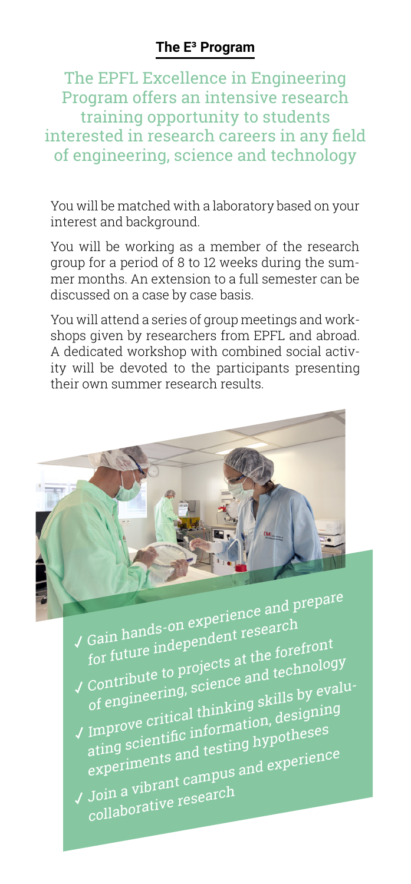The EPFL Excellence in Engineering Program offers an intensive research training opportunity to students interested in research careers in any field of engineering, science and technology

You will be matched with a laboratory based on your interest and background.

You will be working as a member of the research group for a period of 8 to 12 weeks during the summer months. An extension to a full semester can be discussed on a case by case basis.

You will attend a series of group meetings and workshops given by researchers from EPFL and abroad. A dedicated workshop with combined social activity will be devoted to the participants presenting their own summer research results.



 Gain hands-on experience and prepare for future independent research

- Contribute to projects at the forefront of engineering, science and technology Improve critical thinking skills by evalu-
- ating scientific information, designing experiments and testing hypotheses Join a vibrant campus and experience
- collaborative research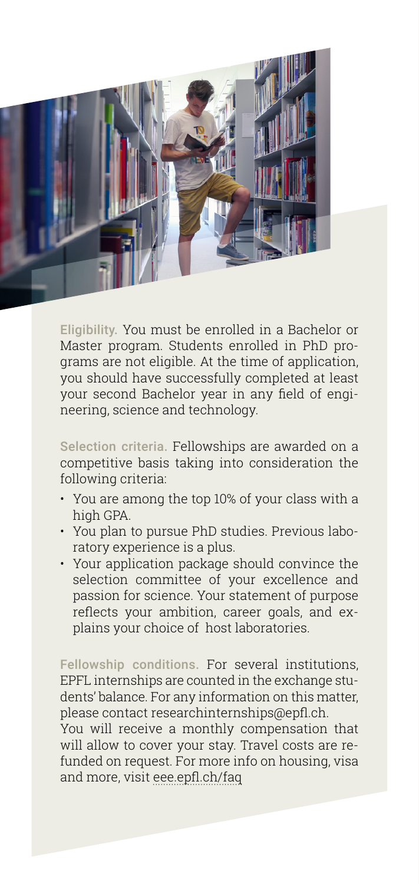

Eligibility. You must be enrolled in a Bachelor or Master program. Students enrolled in PhD programs are not eligible. At the time of application, you should have successfully completed at least your second Bachelor year in any field of engineering, science and technology.

Selection criteria. Fellowships are awarded on a competitive basis taking into consideration the following criteria:

- You are among the top 10% of your class with a high GPA.
- You plan to pursue PhD studies. Previous laboratory experience is a plus.
- Your application package should convince the selection committee of your excellence and passion for science. Your statement of purpose reflects your ambition, career goals, and explains your choice of host laboratories.

Fellowship conditions. For several institutions, EPFL internships are counted in the exchange students' balance. For any information on this matter, please contact researchinternships@epfl.ch.

You will receive a monthly compensation that will allow to cover your stay. Travel costs are refunded on request. For more info on housing, visa and more, visit [eee.epfl.ch/faq](http://eee.epfl.ch/faq)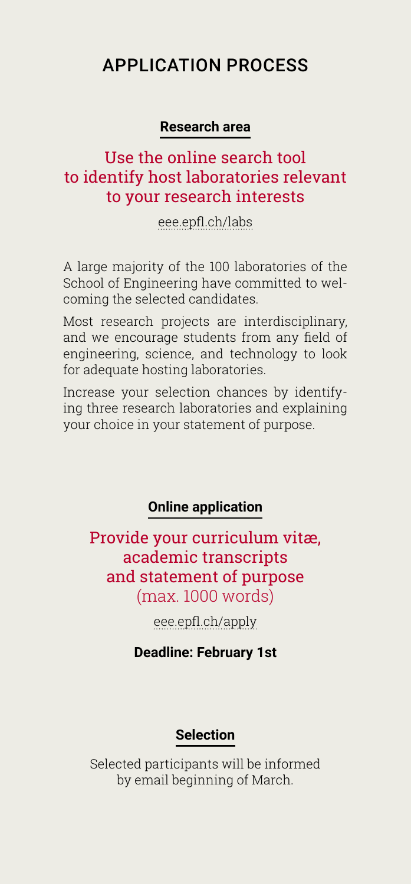## APPLICATION PROCESS

### **Research area**

### Use the online search tool to identify host laboratories relevant to your research interests

[eee.epfl.ch/labs](http://eee.epfl.ch/labs)

A large majority of the 100 laboratories of the School of Engineering have committed to welcoming the selected candidates.

Most research projects are interdisciplinary, and we encourage students from any field of engineering, science, and technology to look for adequate hosting laboratories.

Increase your selection chances by identifying three research laboratories and explaining your choice in your statement of purpose.

### **Online application**

Provide your curriculum vitæ, academic transcripts and statement of purpose (max. 1000 words)

[eee.epfl.ch/apply](http://eee.epfl.ch/apply)

**Deadline: February 1st**

### **Selection**

Selected participants will be informed by email beginning of March.